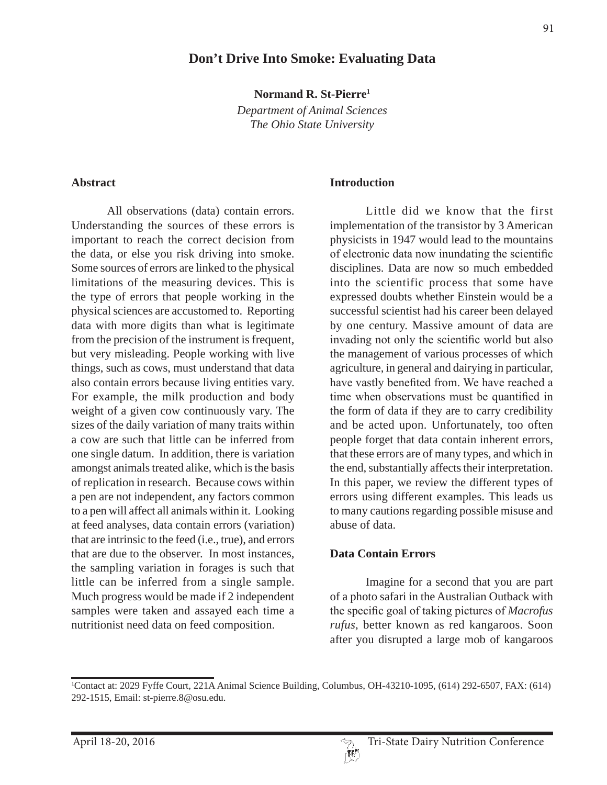# **Don't Drive Into Smoke: Evaluating Data**

**Normand R. St-Pierre1**

*Department of Animal Sciences The Ohio State University*

#### **Abstract**

All observations (data) contain errors. Understanding the sources of these errors is important to reach the correct decision from the data, or else you risk driving into smoke. Some sources of errors are linked to the physical limitations of the measuring devices. This is the type of errors that people working in the physical sciences are accustomed to. Reporting data with more digits than what is legitimate from the precision of the instrument is frequent, but very misleading. People working with live things, such as cows, must understand that data also contain errors because living entities vary. For example, the milk production and body weight of a given cow continuously vary. The sizes of the daily variation of many traits within a cow are such that little can be inferred from one single datum. In addition, there is variation amongst animals treated alike, which is the basis of replication in research. Because cows within a pen are not independent, any factors common to a pen will affect all animals within it. Looking at feed analyses, data contain errors (variation) that are intrinsic to the feed (i.e., true), and errors that are due to the observer. In most instances, the sampling variation in forages is such that little can be inferred from a single sample. Much progress would be made if 2 independent samples were taken and assayed each time a nutritionist need data on feed composition.

#### **Introduction**

Little did we know that the first implementation of the transistor by 3 American physicists in 1947 would lead to the mountains of electronic data now inundating the scientific disciplines. Data are now so much embedded into the scientific process that some have expressed doubts whether Einstein would be a successful scientist had his career been delayed by one century. Massive amount of data are invading not only the scientific world but also the management of various processes of which agriculture, in general and dairying in particular, have vastly benefited from. We have reached a time when observations must be quantified in the form of data if they are to carry credibility and be acted upon. Unfortunately, too often people forget that data contain inherent errors, that these errors are of many types, and which in the end, substantially affects their interpretation. In this paper, we review the different types of errors using different examples. This leads us to many cautions regarding possible misuse and abuse of data.

#### **Data Contain Errors**

Imagine for a second that you are part of a photo safari in the Australian Outback with the specific goal of taking pictures of *Macrofus rufus*, better known as red kangaroos. Soon after you disrupted a large mob of kangaroos

<sup>1</sup> Contact at: 2029 Fyffe Court, 221A Animal Science Building, Columbus, OH-43210-1095, (614) 292-6507, FAX: (614) 292-1515, Email: st-pierre.8@osu.edu.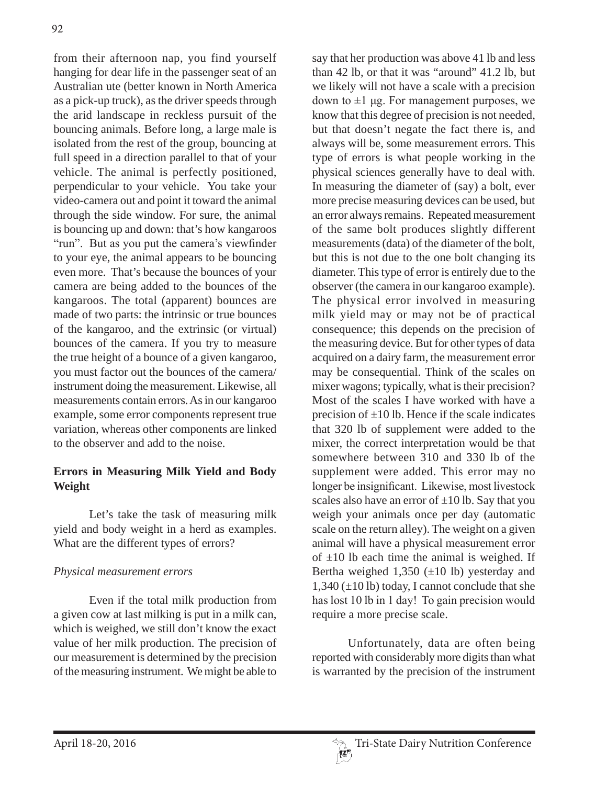from their afternoon nap, you find yourself hanging for dear life in the passenger seat of an Australian ute (better known in North America as a pick-up truck), as the driver speeds through the arid landscape in reckless pursuit of the bouncing animals. Before long, a large male is isolated from the rest of the group, bouncing at full speed in a direction parallel to that of your vehicle. The animal is perfectly positioned, perpendicular to your vehicle. You take your video-camera out and point it toward the animal through the side window. For sure, the animal is bouncing up and down: that's how kangaroos "run". But as you put the camera's viewfinder to your eye, the animal appears to be bouncing even more. That's because the bounces of your camera are being added to the bounces of the kangaroos. The total (apparent) bounces are made of two parts: the intrinsic or true bounces of the kangaroo, and the extrinsic (or virtual) bounces of the camera. If you try to measure the true height of a bounce of a given kangaroo, you must factor out the bounces of the camera/ instrument doing the measurement. Likewise, all measurements contain errors. As in our kangaroo example, some error components represent true variation, whereas other components are linked to the observer and add to the noise.

## **Errors in Measuring Milk Yield and Body Weight**

Let's take the task of measuring milk yield and body weight in a herd as examples. What are the different types of errors?

#### *Physical measurement errors*

Even if the total milk production from a given cow at last milking is put in a milk can, which is weighed, we still don't know the exact value of her milk production. The precision of our measurement is determined by the precision of the measuring instrument. We might be able to

say that her production was above 41 lb and less than 42 lb, or that it was "around" 41.2 lb, but we likely will not have a scale with a precision down to  $\pm 1$  µg. For management purposes, we know that this degree of precision is not needed, but that doesn't negate the fact there is, and always will be, some measurement errors. This type of errors is what people working in the physical sciences generally have to deal with. In measuring the diameter of (say) a bolt, ever more precise measuring devices can be used, but an error always remains. Repeated measurement of the same bolt produces slightly different measurements (data) of the diameter of the bolt, but this is not due to the one bolt changing its diameter. This type of error is entirely due to the observer (the camera in our kangaroo example). The physical error involved in measuring milk yield may or may not be of practical consequence; this depends on the precision of the measuring device. But for other types of data acquired on a dairy farm, the measurement error may be consequential. Think of the scales on mixer wagons; typically, what is their precision? Most of the scales I have worked with have a precision of  $\pm 10$  lb. Hence if the scale indicates that 320 lb of supplement were added to the mixer, the correct interpretation would be that somewhere between 310 and 330 lb of the supplement were added. This error may no longer be insignificant. Likewise, most livestock scales also have an error of  $\pm 10$  lb. Say that you weigh your animals once per day (automatic scale on the return alley). The weight on a given animal will have a physical measurement error of  $\pm 10$  lb each time the animal is weighed. If Bertha weighed  $1,350 \ (\pm 10)$  b) yesterday and  $1,340 (\pm 10 \text{ lb})$  today, I cannot conclude that she has lost 10 lb in 1 day! To gain precision would require a more precise scale.

Unfortunately, data are often being reported with considerably more digits than what is warranted by the precision of the instrument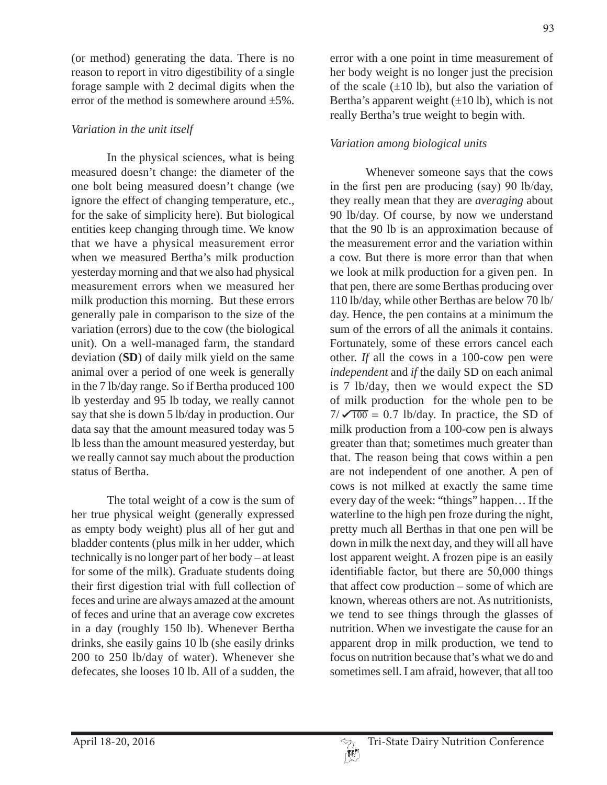(or method) generating the data. There is no reason to report in vitro digestibility of a single forage sample with 2 decimal digits when the error of the method is somewhere around ±5%.

## *Variation in the unit itself*

In the physical sciences, what is being measured doesn't change: the diameter of the one bolt being measured doesn't change (we ignore the effect of changing temperature, etc., for the sake of simplicity here). But biological entities keep changing through time. We know that we have a physical measurement error when we measured Bertha's milk production yesterday morning and that we also had physical measurement errors when we measured her milk production this morning. But these errors generally pale in comparison to the size of the variation (errors) due to the cow (the biological unit). On a well-managed farm, the standard deviation (**SD**) of daily milk yield on the same animal over a period of one week is generally in the 7 lb/day range. So if Bertha produced 100 lb yesterday and 95 lb today, we really cannot say that she is down 5 lb/day in production. Our data say that the amount measured today was 5 lb less than the amount measured yesterday, but we really cannot say much about the production status of Bertha.

The total weight of a cow is the sum of her true physical weight (generally expressed as empty body weight) plus all of her gut and bladder contents (plus milk in her udder, which technically is no longer part of her body – at least for some of the milk). Graduate students doing their first digestion trial with full collection of feces and urine are always amazed at the amount of feces and urine that an average cow excretes in a day (roughly 150 lb). Whenever Bertha drinks, she easily gains 10 lb (she easily drinks 200 to 250 lb/day of water). Whenever she defecates, she looses 10 lb. All of a sudden, the

error with a one point in time measurement of her body weight is no longer just the precision of the scale  $(\pm 10 \text{ lb})$ , but also the variation of Bertha's apparent weight  $(\pm 10 \text{ lb})$ , which is not really Bertha's true weight to begin with.

## *Variation among biological units*

Whenever someone says that the cows in the first pen are producing  $(say)$  90 lb/day, they really mean that they are *averaging* about 90 lb/day. Of course, by now we understand that the 90 lb is an approximation because of the measurement error and the variation within a cow. But there is more error than that when we look at milk production for a given pen. In that pen, there are some Berthas producing over 110 lb/day, while other Berthas are below 70 lb/ day. Hence, the pen contains at a minimum the sum of the errors of all the animals it contains. Fortunately, some of these errors cancel each other. *If* all the cows in a 100-cow pen were *independent* and *if* the daily SD on each animal is 7 lb/day, then we would expect the SD of milk production for the whole pen to be  $7/\sqrt{100} = 0.7$  lb/day. In practice, the SD of milk production from a 100-cow pen is always greater than that; sometimes much greater than that. The reason being that cows within a pen are not independent of one another. A pen of cows is not milked at exactly the same time every day of the week: "things" happen… If the waterline to the high pen froze during the night, pretty much all Berthas in that one pen will be down in milk the next day, and they will all have lost apparent weight. A frozen pipe is an easily identifiable factor, but there are 50,000 things that affect cow production – some of which are known, whereas others are not. As nutritionists, we tend to see things through the glasses of nutrition. When we investigate the cause for an apparent drop in milk production, we tend to focus on nutrition because that's what we do and sometimes sell. I am afraid, however, that all too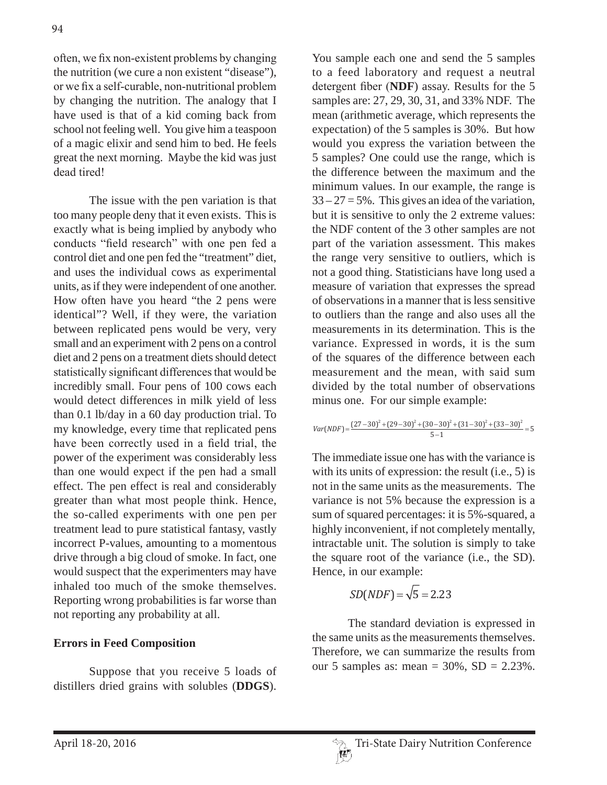often, we fix non-existent problems by changing the nutrition (we cure a non existent "disease"), or we fix a self-curable, non-nutritional problem by changing the nutrition. The analogy that I have used is that of a kid coming back from school not feeling well. You give him a teaspoon of a magic elixir and send him to bed. He feels great the next morning. Maybe the kid was just dead tired!

The issue with the pen variation is that too many people deny that it even exists. This is exactly what is being implied by anybody who conducts "field research" with one pen fed a control diet and one pen fed the "treatment" diet, and uses the individual cows as experimental units, as if they were independent of one another. How often have you heard "the 2 pens were identical"? Well, if they were, the variation between replicated pens would be very, very small and an experiment with 2 pens on a control diet and 2 pens on a treatment diets should detect statistically significant differences that would be incredibly small. Four pens of 100 cows each would detect differences in milk yield of less than 0.1 lb/day in a 60 day production trial. To my knowledge, every time that replicated pens have been correctly used in a field trial, the power of the experiment was considerably less than one would expect if the pen had a small effect. The pen effect is real and considerably greater than what most people think. Hence, the so-called experiments with one pen per treatment lead to pure statistical fantasy, vastly incorrect P-values, amounting to a momentous drive through a big cloud of smoke. In fact, one would suspect that the experimenters may have inhaled too much of the smoke themselves. Reporting wrong probabilities is far worse than not reporting any probability at all.

#### **Errors in Feed Composition**

Suppose that you receive 5 loads of distillers dried grains with solubles (**DDGS**).

You sample each one and send the 5 samples to a feed laboratory and request a neutral detergent fiber (NDF) assay. Results for the 5 samples are: 27, 29, 30, 31, and 33% NDF. The mean (arithmetic average, which represents the expectation) of the 5 samples is 30%. But how would you express the variation between the 5 samples? One could use the range, which is the difference between the maximum and the minimum values. In our example, the range is  $33 - 27 = 5\%$ . This gives an idea of the variation, but it is sensitive to only the 2 extreme values: the NDF content of the 3 other samples are not part of the variation assessment. This makes the range very sensitive to outliers, which is not a good thing. Statisticians have long used a measure of variation that expresses the spread of observations in a manner that is less sensitive to outliers than the range and also uses all the measurements in its determination. This is the variance. Expressed in words, it is the sum of the squares of the difference between each measurement and the mean, with said sum divided by the total number of observations minus one. For our simple example:

$$
Var(NDF) = \frac{(27-30)^2 + (29-30)^2 + (30-30)^2 + (31-30)^2 + (33-30)^2}{5-1} = 5
$$

The immediate issue one has with the variance is with its units of expression: the result (i.e., 5) is not in the same units as the measurements. The variance is not 5% because the expression is a sum of squared percentages: it is 5%-squared, a highly inconvenient, if not completely mentally, intractable unit. The solution is simply to take the square root of the variance (i.e., the SD). Hence, in our example:

$$
SD(NDF) = \sqrt{5} = 2.23
$$

The standard deviation is expressed in the same units as the measurements themselves. Therefore, we can summarize the results from our 5 samples as: mean = 30%, SD = 2.23%.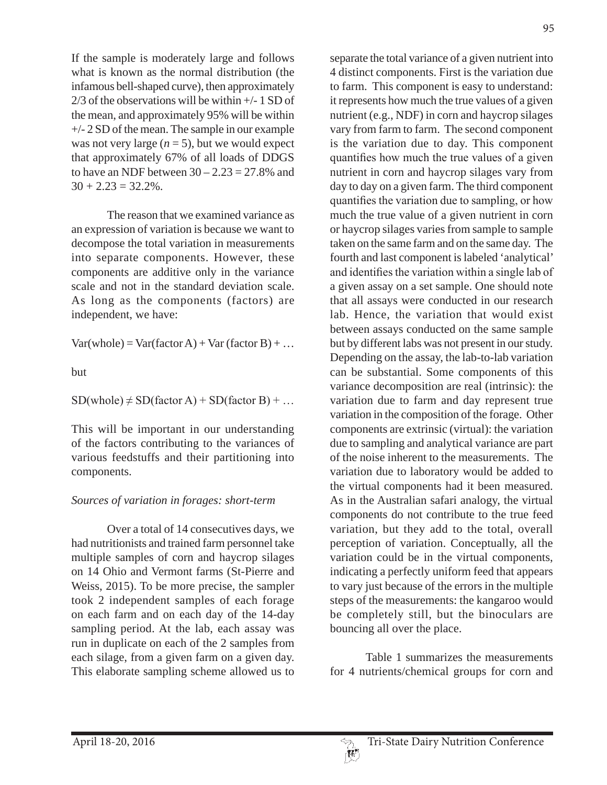If the sample is moderately large and follows what is known as the normal distribution (the infamous bell-shaped curve), then approximately  $2/3$  of the observations will be within  $+/- 1$  SD of the mean, and approximately 95% will be within +/- 2 SD of the mean. The sample in our example was not very large  $(n = 5)$ , but we would expect that approximately 67% of all loads of DDGS to have an NDF between  $30 - 2.23 = 27.8\%$  and  $30 + 2.23 = 32.2\%$ .

The reason that we examined variance as an expression of variation is because we want to decompose the total variation in measurements into separate components. However, these components are additive only in the variance scale and not in the standard deviation scale. As long as the components (factors) are independent, we have:

 $Var(whole) = Var(factor A) + Var(factor B) + ...$ 

but

 $SD(whole) \neq SD(factor A) + SD(factor B) + ...$ 

This will be important in our understanding of the factors contributing to the variances of various feedstuffs and their partitioning into components.

#### *Sources of variation in forages: short-term*

Over a total of 14 consecutives days, we had nutritionists and trained farm personnel take multiple samples of corn and haycrop silages on 14 Ohio and Vermont farms (St-Pierre and Weiss, 2015). To be more precise, the sampler took 2 independent samples of each forage on each farm and on each day of the 14-day sampling period. At the lab, each assay was run in duplicate on each of the 2 samples from each silage, from a given farm on a given day. This elaborate sampling scheme allowed us to separate the total variance of a given nutrient into 4 distinct components. First is the variation due to farm. This component is easy to understand: it represents how much the true values of a given nutrient (e.g., NDF) in corn and haycrop silages vary from farm to farm. The second component is the variation due to day. This component quantifies how much the true values of a given nutrient in corn and haycrop silages vary from day to day on a given farm. The third component quantifies the variation due to sampling, or how much the true value of a given nutrient in corn or haycrop silages varies from sample to sample taken on the same farm and on the same day. The fourth and last component is labeled 'analytical' and identifies the variation within a single lab of a given assay on a set sample. One should note that all assays were conducted in our research lab. Hence, the variation that would exist between assays conducted on the same sample but by different labs was not present in our study. Depending on the assay, the lab-to-lab variation can be substantial. Some components of this variance decomposition are real (intrinsic): the variation due to farm and day represent true variation in the composition of the forage. Other components are extrinsic (virtual): the variation due to sampling and analytical variance are part of the noise inherent to the measurements. The variation due to laboratory would be added to the virtual components had it been measured. As in the Australian safari analogy, the virtual components do not contribute to the true feed variation, but they add to the total, overall perception of variation. Conceptually, all the variation could be in the virtual components, indicating a perfectly uniform feed that appears to vary just because of the errors in the multiple steps of the measurements: the kangaroo would be completely still, but the binoculars are bouncing all over the place.

Table 1 summarizes the measurements for 4 nutrients/chemical groups for corn and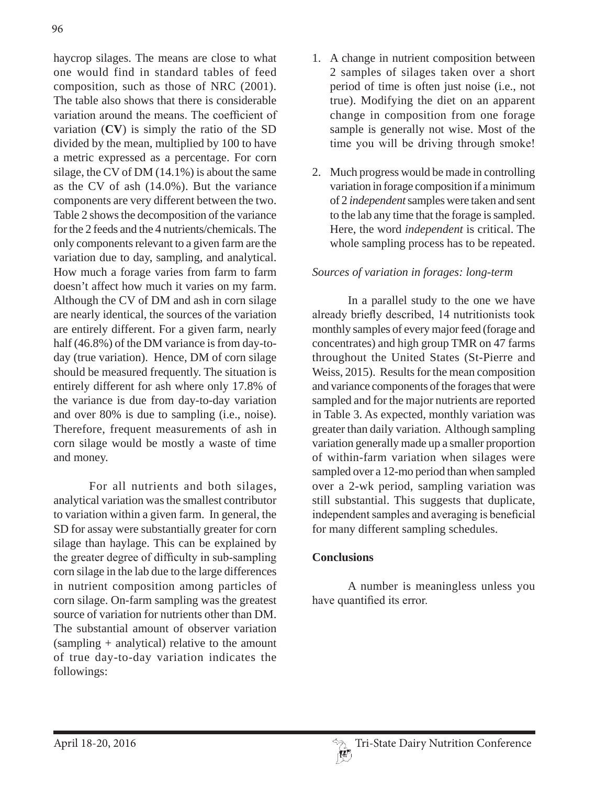haycrop silages. The means are close to what one would find in standard tables of feed composition, such as those of NRC (2001). The table also shows that there is considerable variation around the means. The coefficient of variation (**CV**) is simply the ratio of the SD divided by the mean, multiplied by 100 to have a metric expressed as a percentage. For corn silage, the CV of DM (14.1%) is about the same as the CV of ash (14.0%). But the variance components are very different between the two. Table 2 shows the decomposition of the variance for the 2 feeds and the 4 nutrients/chemicals. The only components relevant to a given farm are the variation due to day, sampling, and analytical. How much a forage varies from farm to farm doesn't affect how much it varies on my farm. Although the CV of DM and ash in corn silage are nearly identical, the sources of the variation are entirely different. For a given farm, nearly half (46.8%) of the DM variance is from day-today (true variation). Hence, DM of corn silage should be measured frequently. The situation is entirely different for ash where only 17.8% of the variance is due from day-to-day variation and over 80% is due to sampling (i.e., noise). Therefore, frequent measurements of ash in corn silage would be mostly a waste of time and money.

For all nutrients and both silages, analytical variation was the smallest contributor to variation within a given farm. In general, the SD for assay were substantially greater for corn silage than haylage. This can be explained by the greater degree of difficulty in sub-sampling corn silage in the lab due to the large differences in nutrient composition among particles of corn silage. On-farm sampling was the greatest source of variation for nutrients other than DM. The substantial amount of observer variation (sampling + analytical) relative to the amount of true day-to-day variation indicates the followings:

- 1. A change in nutrient composition between 2 samples of silages taken over a short period of time is often just noise (i.e., not true). Modifying the diet on an apparent change in composition from one forage sample is generally not wise. Most of the time you will be driving through smoke!
- 2. Much progress would be made in controlling variation in forage composition if a minimum of 2 *independent* samples were taken and sent to the lab any time that the forage is sampled. Here, the word *independent* is critical. The whole sampling process has to be repeated.

## *Sources of variation in forages: long-term*

In a parallel study to the one we have already briefly described, 14 nutritionists took monthly samples of every major feed (forage and concentrates) and high group TMR on 47 farms throughout the United States (St-Pierre and Weiss, 2015). Results for the mean composition and variance components of the forages that were sampled and for the major nutrients are reported in Table 3. As expected, monthly variation was greater than daily variation. Although sampling variation generally made up a smaller proportion of within-farm variation when silages were sampled over a 12-mo period than when sampled over a 2-wk period, sampling variation was still substantial. This suggests that duplicate, independent samples and averaging is beneficial for many different sampling schedules.

#### **Conclusions**

A number is meaningless unless you have quantified its error.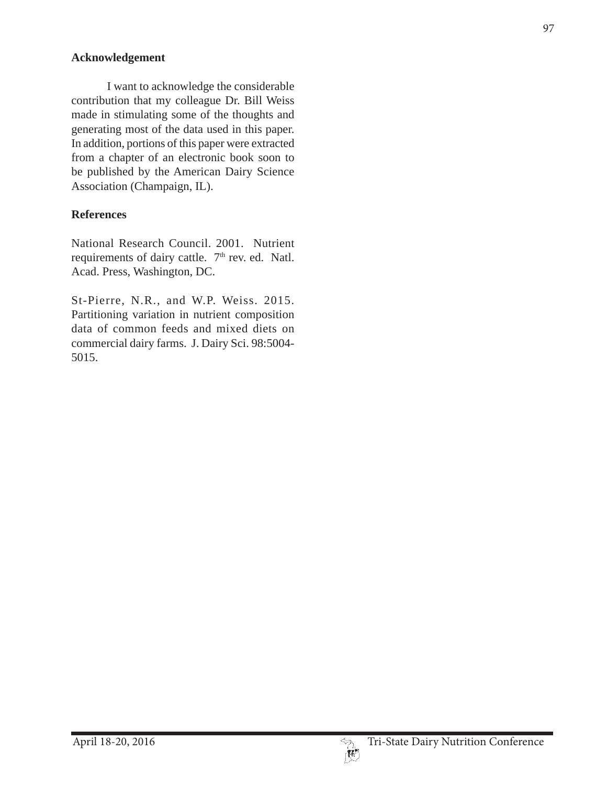## **Acknowledgement**

I want to acknowledge the considerable contribution that my colleague Dr. Bill Weiss made in stimulating some of the thoughts and generating most of the data used in this paper. In addition, portions of this paper were extracted from a chapter of an electronic book soon to be published by the American Dairy Science Association (Champaign, IL).

# **References**

National Research Council. 2001. Nutrient requirements of dairy cattle. 7<sup>th</sup> rev. ed. Natl. Acad. Press, Washington, DC.

St-Pierre, N.R., and W.P. Weiss. 2015. Partitioning variation in nutrient composition data of common feeds and mixed diets on commercial dairy farms. J. Dairy Sci. 98:5004- 5015.

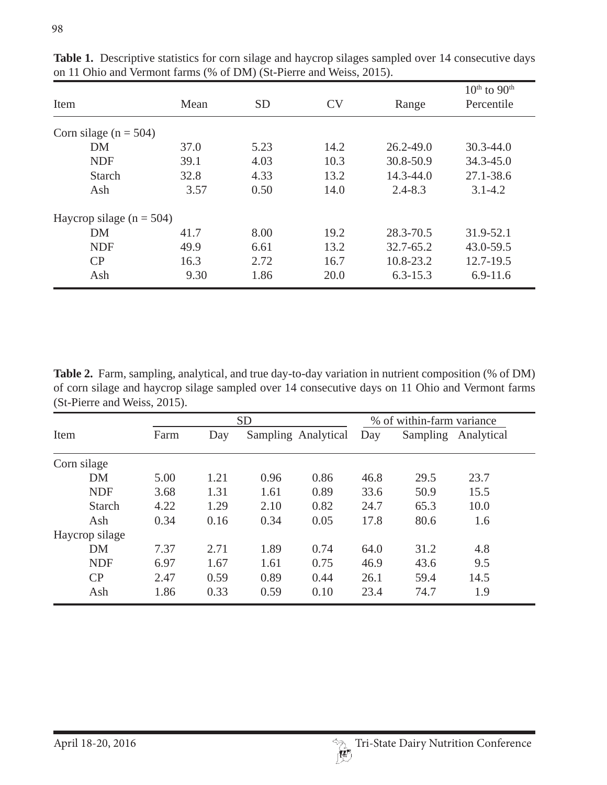| Item                       | Mean | <b>SD</b> | <b>CV</b> | Range         | $10th$ to $90th$<br>Percentile |  |  |  |
|----------------------------|------|-----------|-----------|---------------|--------------------------------|--|--|--|
| Corn silage ( $n = 504$ )  |      |           |           |               |                                |  |  |  |
| <b>DM</b>                  | 37.0 | 5.23      | 14.2      | $26.2 - 49.0$ | $30.3 - 44.0$                  |  |  |  |
| <b>NDF</b>                 | 39.1 | 4.03      | 10.3      | 30.8-50.9     | $34.3 - 45.0$                  |  |  |  |
| <b>Starch</b>              | 32.8 | 4.33      | 13.2      | 14.3-44.0     | 27.1-38.6                      |  |  |  |
| Ash                        | 3.57 | 0.50      | 14.0      | $2.4 - 8.3$   | $3.1 - 4.2$                    |  |  |  |
| Haycrop silage $(n = 504)$ |      |           |           |               |                                |  |  |  |
| <b>DM</b>                  | 41.7 | 8.00      | 19.2      | 28.3-70.5     | 31.9-52.1                      |  |  |  |
| <b>NDF</b>                 | 49.9 | 6.61      | 13.2      | $32.7 - 65.2$ | 43.0-59.5                      |  |  |  |
| CP                         | 16.3 | 2.72      | 16.7      | 10.8-23.2     | 12.7-19.5                      |  |  |  |
| Ash                        | 9.30 | 1.86      | 20.0      | $6.3 - 15.3$  | $6.9 - 11.6$                   |  |  |  |

**Table 1.** Descriptive statistics for corn silage and haycrop silages sampled over 14 consecutive days on 11 Ohio and Vermont farms (% of DM) (St-Pierre and Weiss, 2015).

**Table 2.** Farm, sampling, analytical, and true day-to-day variation in nutrient composition (% of DM) of corn silage and haycrop silage sampled over 14 consecutive days on 11 Ohio and Vermont farms (St-Pierre and Weiss, 2015).

|                | <b>SD</b> |      |      | % of within-farm variance |      |          |            |
|----------------|-----------|------|------|---------------------------|------|----------|------------|
| Item           | Farm      | Day  |      | Sampling Analytical       | Day  | Sampling | Analytical |
| Corn silage    |           |      |      |                           |      |          |            |
| <b>DM</b>      | 5.00      | 1.21 | 0.96 | 0.86                      | 46.8 | 29.5     | 23.7       |
| <b>NDF</b>     | 3.68      | 1.31 | 1.61 | 0.89                      | 33.6 | 50.9     | 15.5       |
| <b>Starch</b>  | 4.22      | 1.29 | 2.10 | 0.82                      | 24.7 | 65.3     | 10.0       |
| Ash            | 0.34      | 0.16 | 0.34 | 0.05                      | 17.8 | 80.6     | 1.6        |
| Haycrop silage |           |      |      |                           |      |          |            |
| <b>DM</b>      | 7.37      | 2.71 | 1.89 | 0.74                      | 64.0 | 31.2     | 4.8        |
| <b>NDF</b>     | 6.97      | 1.67 | 1.61 | 0.75                      | 46.9 | 43.6     | 9.5        |
| CP             | 2.47      | 0.59 | 0.89 | 0.44                      | 26.1 | 59.4     | 14.5       |
| Ash            | 1.86      | 0.33 | 0.59 | 0.10                      | 23.4 | 74.7     | 1.9        |